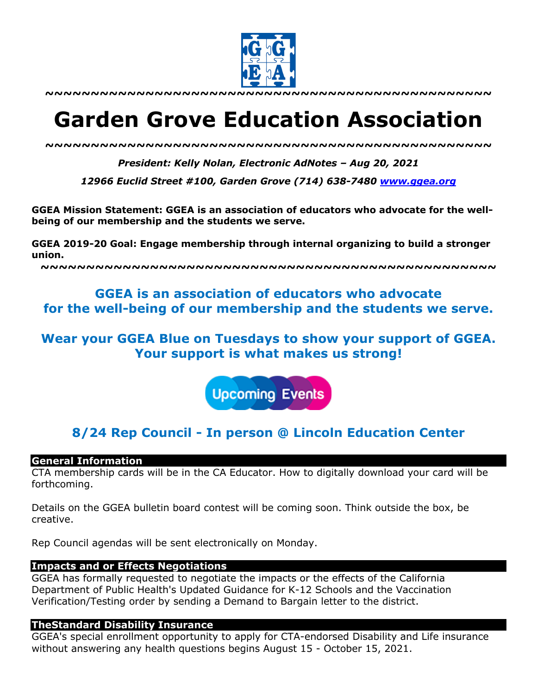

# **Garden Grove Education Association**

*~~~~~~~~~~~~~~~~~~~~~~~~~~~~~~~~~~~~~~~~~~~~~~~~~*

*President: Kelly Nolan, Electronic AdNotes – Aug 20, 2021*

*12966 Euclid Street #100, Garden Grove (714) 638-7480 www.ggea.org*

**GGEA Mission Statement: GGEA is an association of educators who advocate for the wellbeing of our membership and the students we serve.** 

**GGEA 2019-20 Goal: Engage membership through internal organizing to build a stronger union.**

**~~~~~~~~~~~~~~~~~~~~~~~~~~~~~~~~~~~~~~~~~~~~~~~~~~**

# **GGEA is an association of educators who advocate for the well-being of our membership and the students we serve.**

# **Wear your GGEA Blue on Tuesdays to show your support of GGEA. Your support is what makes us strong!**



# **8/24 Rep Council - In person @ Lincoln Education Center**

#### **General Information**

CTA membership cards will be in the CA Educator. How to digitally download your card will be forthcoming.

Details on the GGEA bulletin board contest will be coming soon. Think outside the box, be creative.

Rep Council agendas will be sent electronically on Monday.

# **Impacts and or Effects Negotiations**

GGEA has formally requested to negotiate the impacts or the effects of the California Department of Public Health's Updated Guidance for K-12 Schools and the Vaccination Verification/Testing order by sending a Demand to Bargain letter to the district.

# **TheStandard Disability Insurance**

GGEA's special enrollment opportunity to apply for CTA-endorsed Disability and Life insurance without answering any health questions begins August 15 - October 15, 2021.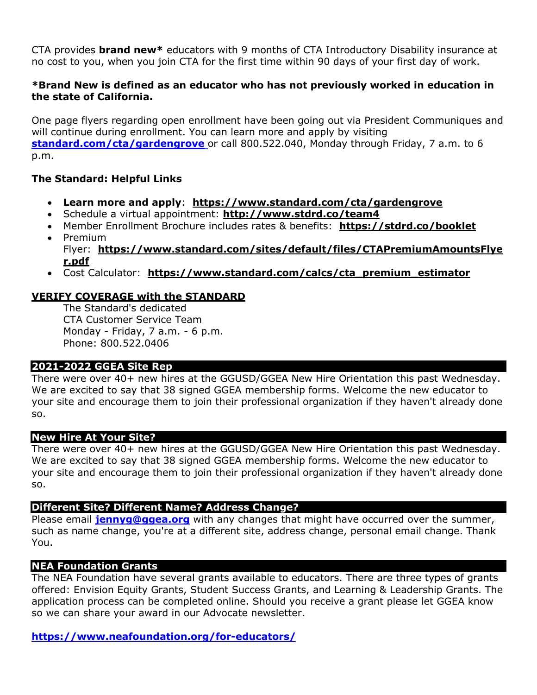CTA provides **brand new\*** educators with 9 months of CTA Introductory Disability insurance at no cost to you, when you join CTA for the first time within 90 days of your first day of work.

## **\*Brand New is defined as an educator who has not previously worked in education in the state of California.**

One page flyers regarding open enrollment have been going out via President Communiques and will continue during enrollment. You can learn more and apply by visiting **standard.com/cta/gardengrove** or call 800.522.040, Monday through Friday, 7 a.m. to 6 p.m.

# **The Standard: Helpful Links**

- **Learn more and apply**: **https://www.standard.com/cta/gardengrove**
- Schedule a virtual appointment: **http://www.stdrd.co/team4**
- Member Enrollment Brochure includes rates & benefits: **https://stdrd.co/booklet** • Premium
- Flyer: **https://www.standard.com/sites/default/files/CTAPremiumAmountsFlye r.pdf**
- Cost Calculator: **https://www.standard.com/calcs/cta\_premium\_estimator**

# **VERIFY COVERAGE with the STANDARD**

The Standard's dedicated CTA Customer Service Team Monday - Friday, 7 a.m. - 6 p.m. Phone: 800.522.0406

# **2021-2022 GGEA Site Rep**

There were over 40+ new hires at the GGUSD/GGEA New Hire Orientation this past Wednesday. We are excited to say that 38 signed GGEA membership forms. Welcome the new educator to your site and encourage them to join their professional organization if they haven't already done so.

#### **New Hire At Your Site?**

There were over 40+ new hires at the GGUSD/GGEA New Hire Orientation this past Wednesday. We are excited to say that 38 signed GGEA membership forms. Welcome the new educator to your site and encourage them to join their professional organization if they haven't already done so.

#### **Different Site? Different Name? Address Change?**

Please email **jennyg@ggea.org** with any changes that might have occurred over the summer, such as name change, you're at a different site, address change, personal email change. Thank You.

#### **NEA Foundation Grants**

The NEA Foundation have several grants available to educators. There are three types of grants offered: Envision Equity Grants, Student Success Grants, and Learning & Leadership Grants. The application process can be completed online. Should you receive a grant please let GGEA know so we can share your award in our Advocate newsletter.

**https://www.neafoundation.org/for-educators/**